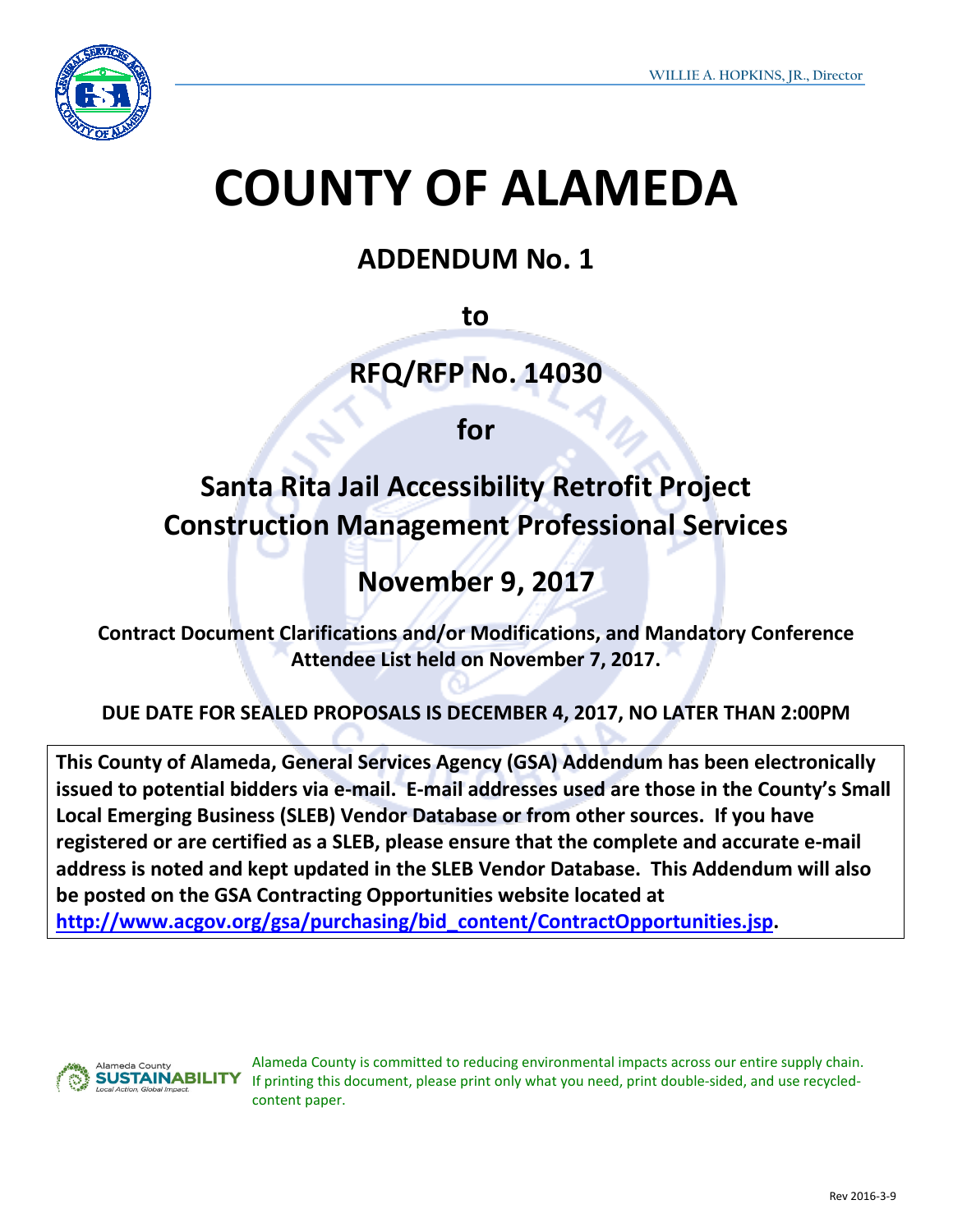

# **COUNTY OF ALAMEDA**

## **ADDENDUM No. 1**

**to**

**RFQ/RFP No. 14030**

**for**

# **Santa Rita Jail Accessibility Retrofit Project Construction Management Professional Services**

# **November 9, 2017**

**Contract Document Clarifications and/or Modifications, and Mandatory Conference Attendee List held on November 7, 2017.** 

### **DUE DATE FOR SEALED PROPOSALS IS DECEMBER 4, 2017, NO LATER THAN 2:00PM**

**This County of Alameda, General Services Agency (GSA) Addendum has been electronically issued to potential bidders via e-mail. E-mail addresses used are those in the County's Small Local Emerging Business (SLEB) Vendor Database or from other sources. If you have registered or are certified as a SLEB, please ensure that the complete and accurate e-mail address is noted and kept updated in the SLEB Vendor Database. This Addendum will also be posted on the GSA Contracting Opportunities website located at [http://www.acgov.org/gsa/purchasing/bid\\_content/ContractOpportunities.jsp.](http://www.acgov.org/gsa/purchasing/bid_content/ContractOpportunities.jsp)**



Alameda County is committed to reducing environmental impacts across our entire supply chain. If printing this document, please print only what you need, print double-sided, and use recycledcontent paper.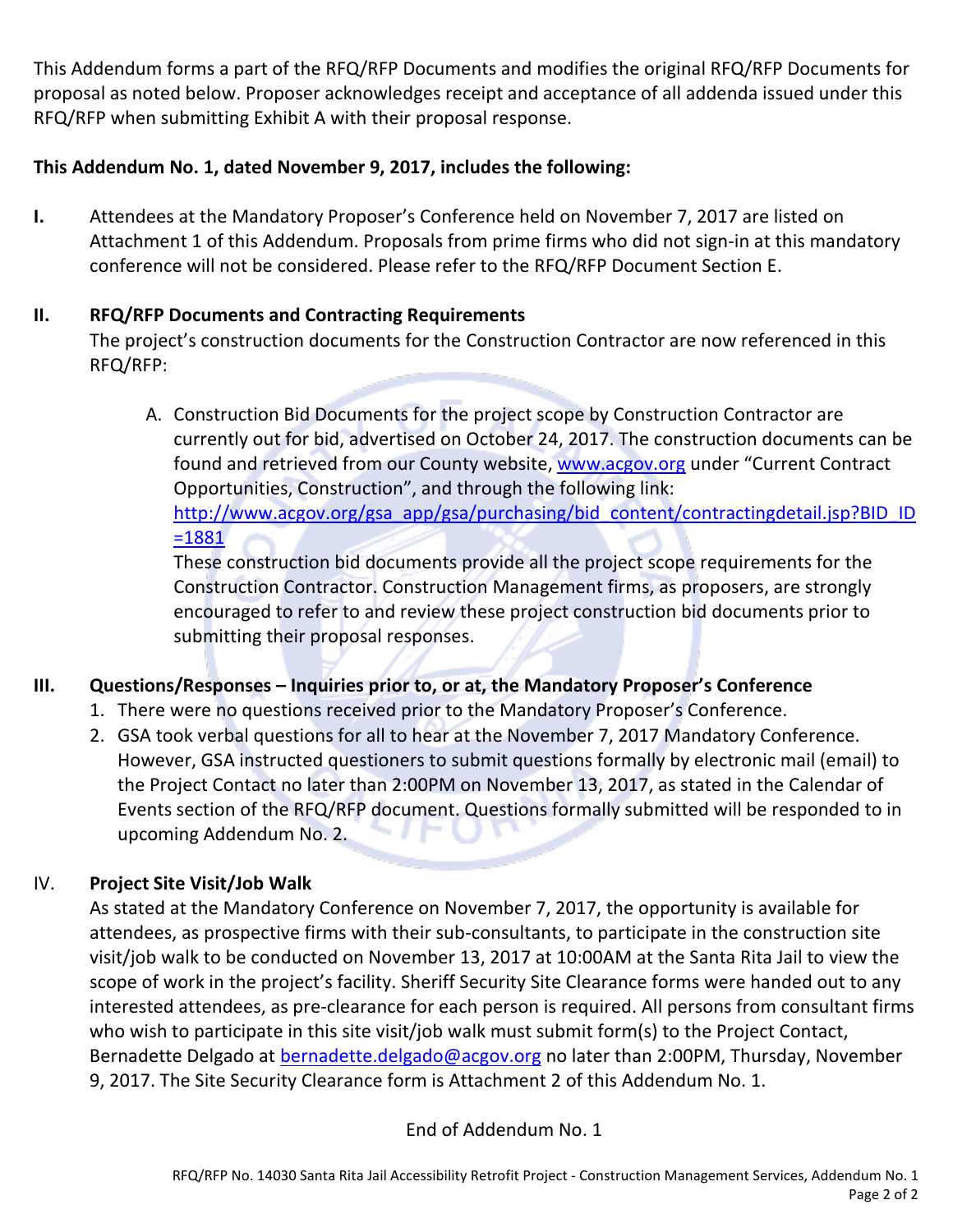This Addendum forms a part of the RFQ/RFP Documents and modifies the original RFQ/RFP Documents for proposal as noted below. Proposer acknowledges receipt and acceptance of all addenda issued under this RFQ/RFP when submitting Exhibit A with their proposal response.

#### **This Addendum No. 1, dated November 9, 2017, includes the following:**

**I.** Attendees at the Mandatory Proposer's Conference held on November 7, 2017 are listed on Attachment 1 of this Addendum. Proposals from prime firms who did not sign-in at this mandatory conference will not be considered. Please refer to the RFQ/RFP Document Section E.

#### **II. RFQ/RFP Documents and Contracting Requirements**

The project's construction documents for the Construction Contractor are now referenced in this RFQ/RFP:

A. Construction Bid Documents for the project scope by Construction Contractor are currently out for bid, advertised on October 24, 2017. The construction documents can be found and retrieved from our County website, [www.acgov.org](http://www.acgov.org/) under "Current Contract Opportunities, Construction", and through the following link: [http://www.acgov.org/gsa\\_app/gsa/purchasing/bid\\_content/contractingdetail.jsp?BID\\_ID](http://www.acgov.org/gsa_app/gsa/purchasing/bid_content/contractingdetail.jsp?BID_ID=1881)  $=1881$ 

These construction bid documents provide all the project scope requirements for the Construction Contractor. Construction Management firms, as proposers, are strongly encouraged to refer to and review these project construction bid documents prior to submitting their proposal responses.

#### **III. Questions/Responses – Inquiries prior to, or at, the Mandatory Proposer's Conference**

- 1. There were no questions received prior to the Mandatory Proposer's Conference.
- 2. GSA took verbal questions for all to hear at the November 7, 2017 Mandatory Conference. However, GSA instructed questioners to submit questions formally by electronic mail (email) to the Project Contact no later than 2:00PM on November 13, 2017, as stated in the Calendar of Events section of the RFQ/RFP document. Questions formally submitted will be responded to in upcoming Addendum No. 2.

#### IV. **Project Site Visit/Job Walk**

As stated at the Mandatory Conference on November 7, 2017, the opportunity is available for attendees, as prospective firms with their sub-consultants, to participate in the construction site visit/job walk to be conducted on November 13, 2017 at 10:00AM at the Santa Rita Jail to view the scope of work in the project's facility. Sheriff Security Site Clearance forms were handed out to any interested attendees, as pre-clearance for each person is required. All persons from consultant firms who wish to participate in this site visit/job walk must submit form(s) to the Project Contact, Bernadette Delgado at [bernadette.delgado@acgov.org](mailto:bernadette.delgado@acgov.org) no later than 2:00PM, Thursday, November 9, 2017. The Site Security Clearance form is Attachment 2 of this Addendum No. 1.

End of Addendum No. 1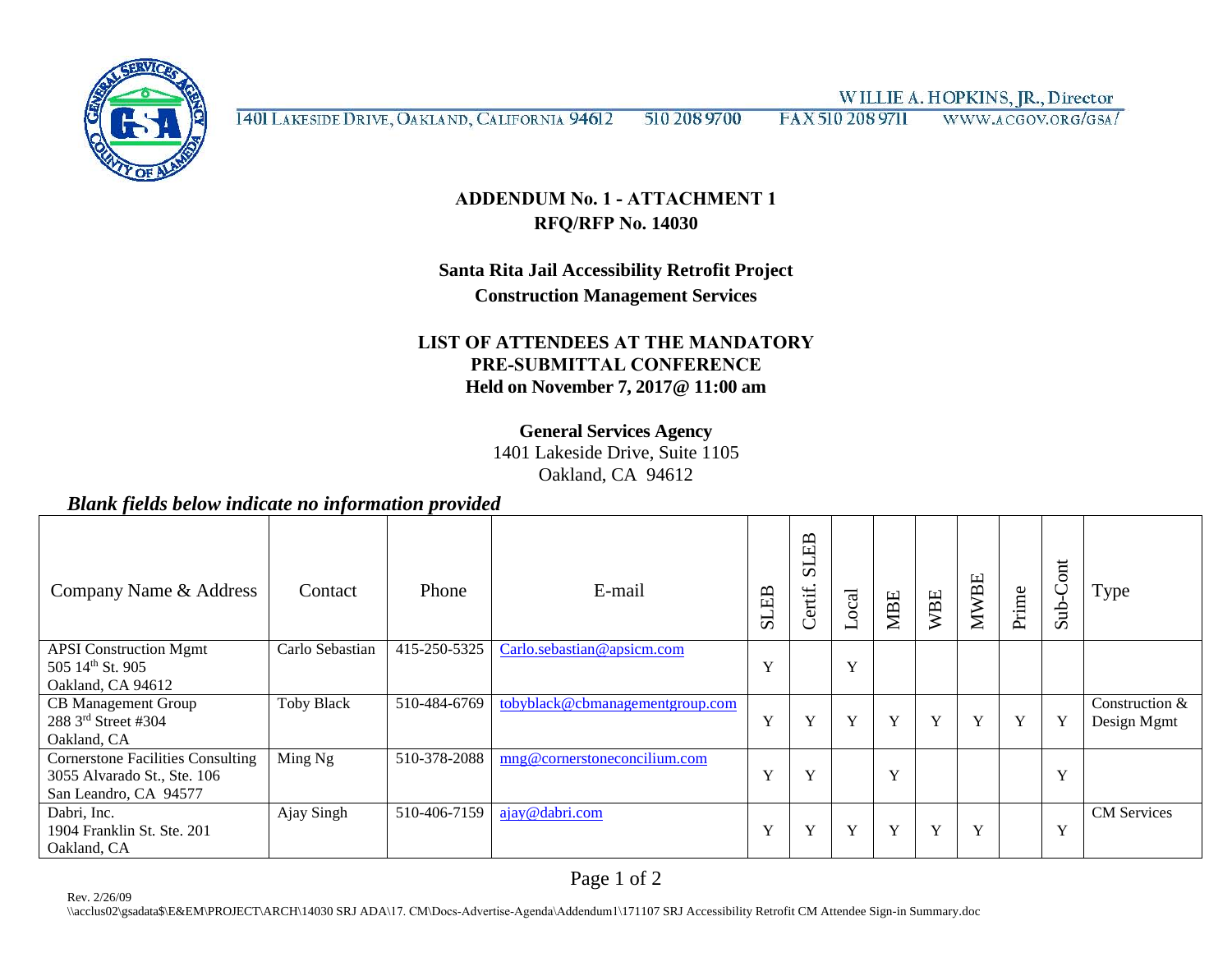WILLIE A. HOPKINS, JR., Director



1401 LAKESIDE DRIVE, OAKLAND, CALIFORNIA 94612 510 208 9700 FAX 510 208 9711 WWW.ACGOV.ORG/GSA/

#### **ADDENDUM No. 1 - ATTACHMENT 1 RFQ/RFP No. 14030**

#### **Santa Rita Jail Accessibility Retrofit Project Construction Management Services**

#### **LIST OF ATTENDEES AT THE MANDATORY PRE-SUBMITTAL CONFERENCE Held on November 7, 2017@ 11:00 am**

#### **General Services Agency**

1401 Lakeside Drive, Suite 1105 Oakland, CA 94612

#### *Blank fields below indicate no information provided*

| Company Name & Address                                                                           | Contact           | Phone        | E-mail                          | EB<br>51     | EB<br>51<br>Certif. | Local | <b>MBE</b>   | <b>WBE</b> | <b>MWBE</b> | Prime        | ont<br>$\subset$<br>ਦੂ<br>$\mathcal{L}$ | Type                          |
|--------------------------------------------------------------------------------------------------|-------------------|--------------|---------------------------------|--------------|---------------------|-------|--------------|------------|-------------|--------------|-----------------------------------------|-------------------------------|
| <b>APSI</b> Construction Mgmt<br>505 14th St. 905                                                | Carlo Sebastian   | 415-250-5325 | Carlo.sebastian@apsicm.com      | Y            |                     | Y     |              |            |             |              |                                         |                               |
| Oakland, CA 94612                                                                                |                   |              |                                 |              |                     |       |              |            |             |              |                                         |                               |
| <b>CB</b> Management Group<br>288 3rd Street #304<br>Oakland, CA                                 | <b>Toby Black</b> | 510-484-6769 | tobyblack@cbmanagementgroup.com | $\mathbf{v}$ | $\mathbf{v}$        | Y     | $\mathbf{v}$ | Y          | Y           | $\mathbf{v}$ | Y                                       | Construction &<br>Design Mgmt |
| <b>Cornerstone Facilities Consulting</b><br>3055 Alvarado St., Ste. 106<br>San Leandro, CA 94577 | Ming Ng           | 510-378-2088 | mng@cornerstoneconcilium.com    | Y            | $\mathbf{v}$        |       | $\mathbf{x}$ |            |             |              | Y                                       |                               |
| Dabri, Inc.<br>1904 Franklin St. Ste. 201<br>Oakland, CA                                         | Ajay Singh        | 510-406-7159 | ajay@dabri.com                  |              | Y                   | Y     | $\mathbf v$  | Y          | Y           |              | Y                                       | <b>CM</b> Services            |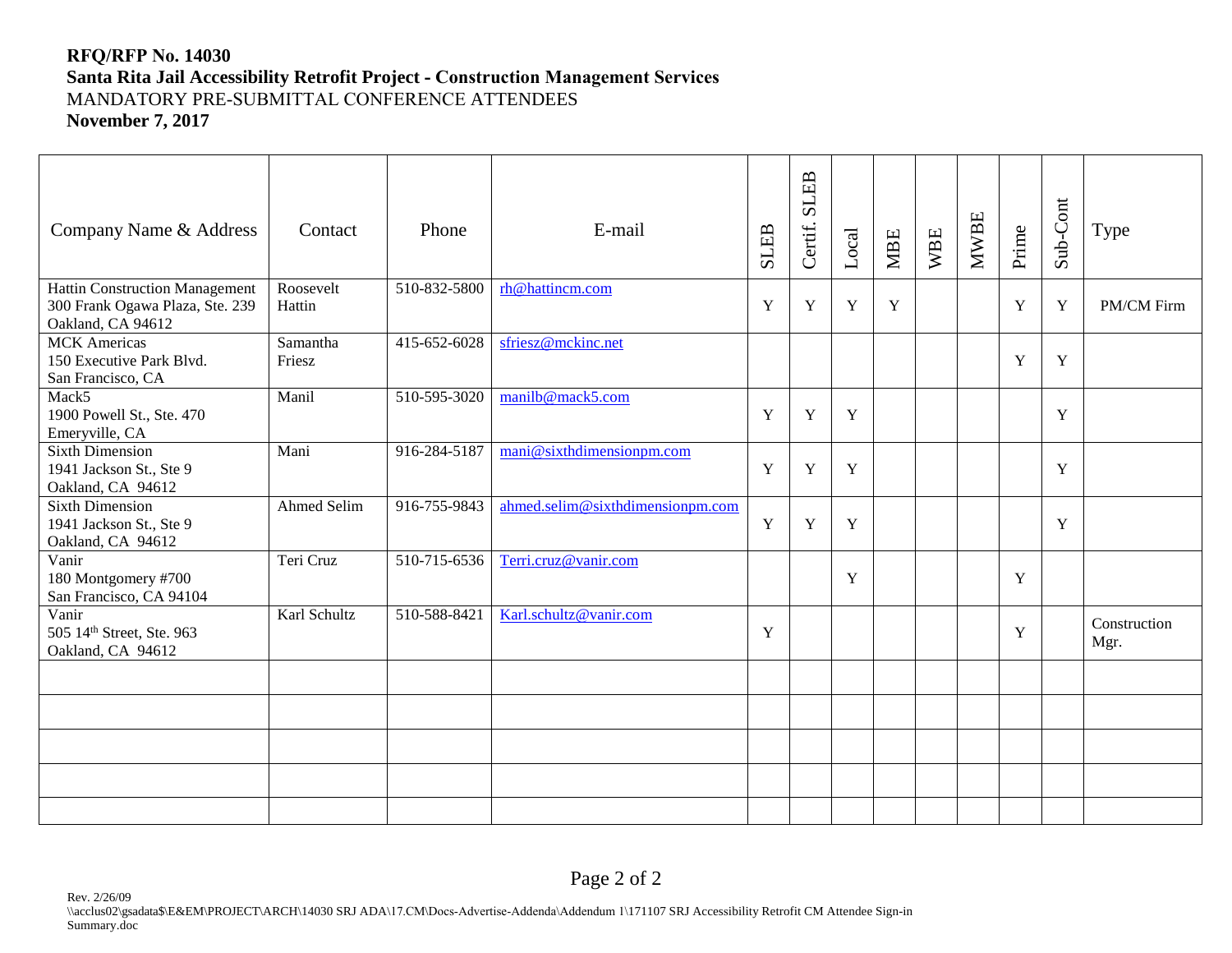#### **RFQ/RFP No. 14030 Santa Rita Jail Accessibility Retrofit Project - Construction Management Services** MANDATORY PRE-SUBMITTAL CONFERENCE ATTENDEES **November 7, 2017**

| Company Name & Address                                                                        | Contact             | Phone        | E-mail                           |   | <b>SLEB</b><br>Certif. | Local       | <b>MBE</b>  | WBE | <b>MWBE</b> | Prime | Sub-Cont | Type                 |
|-----------------------------------------------------------------------------------------------|---------------------|--------------|----------------------------------|---|------------------------|-------------|-------------|-----|-------------|-------|----------|----------------------|
| <b>Hattin Construction Management</b><br>300 Frank Ogawa Plaza, Ste. 239<br>Oakland, CA 94612 | Roosevelt<br>Hattin | 510-832-5800 | rh@hattincm.com                  | Y | Y                      | $\mathbf Y$ | $\mathbf Y$ |     |             | Y     | Y        | PM/CM Firm           |
| <b>MCK</b> Americas<br>150 Executive Park Blvd.<br>San Francisco, CA                          | Samantha<br>Friesz  | 415-652-6028 | sfriesz@mckinc.net               |   |                        |             |             |     |             | Y     | Y        |                      |
| Mack5<br>1900 Powell St., Ste. 470<br>Emeryville, CA                                          | Manil               | 510-595-3020 | manilb@mack5.com                 | Y | Y                      | $\mathbf Y$ |             |     |             |       | Y        |                      |
| <b>Sixth Dimension</b><br>1941 Jackson St., Ste 9<br>Oakland, CA 94612                        | Mani                | 916-284-5187 | mani@sixthdimensionpm.com        | Y | Y                      | Y           |             |     |             |       | Y        |                      |
| <b>Sixth Dimension</b><br>1941 Jackson St., Ste 9<br>Oakland, CA 94612                        | <b>Ahmed Selim</b>  | 916-755-9843 | ahmed.selim@sixthdimensionpm.com | Y | Y                      | Y           |             |     |             |       | Y        |                      |
| Vanir<br>180 Montgomery #700<br>San Francisco, CA 94104                                       | Teri Cruz           | 510-715-6536 | Terri.cruz@vanir.com             |   |                        | $\mathbf Y$ |             |     |             | Y     |          |                      |
| Vanir<br>505 14th Street, Ste. 963<br>Oakland, CA 94612                                       | Karl Schultz        | 510-588-8421 | Karl.schultz@vanir.com           | Y |                        |             |             |     |             | Y     |          | Construction<br>Mgr. |
|                                                                                               |                     |              |                                  |   |                        |             |             |     |             |       |          |                      |
|                                                                                               |                     |              |                                  |   |                        |             |             |     |             |       |          |                      |
|                                                                                               |                     |              |                                  |   |                        |             |             |     |             |       |          |                      |
|                                                                                               |                     |              |                                  |   |                        |             |             |     |             |       |          |                      |
|                                                                                               |                     |              |                                  |   |                        |             |             |     |             |       |          |                      |